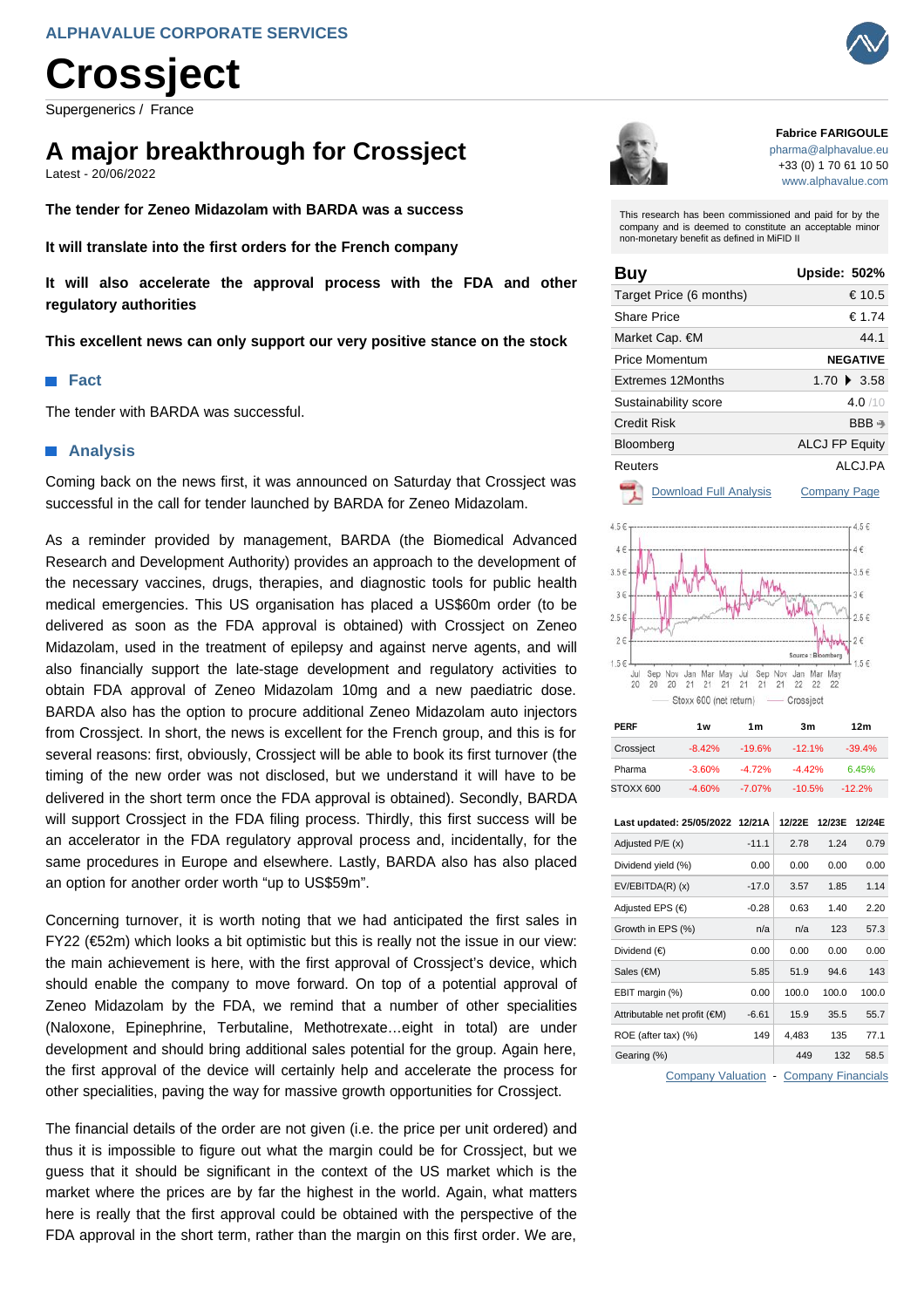# **Crossject**

Supergenerics / France

## **A major breakthrough for Crossject**

Latest - 20/06/2022

**The tender for Zeneo Midazolam with BARDA was a success**

**It will translate into the first orders for the French company**

**It will also accelerate the approval process with the FDA and other regulatory authorities**

**This excellent news can only support our very positive stance on the stock**

#### **Fact**

The tender with BARDA was successful.

#### **Analysis**

Coming back on the news first, it was announced on Saturday that Crossject was successful in the call for tender launched by BARDA for Zeneo Midazolam.

As a reminder provided by management, BARDA (the Biomedical Advanced Research and Development Authority) provides an approach to the development of the necessary vaccines, drugs, therapies, and diagnostic tools for public health medical emergencies. This US organisation has placed a US\$60m order (to be delivered as soon as the FDA approval is obtained) with Crossject on Zeneo Midazolam, used in the treatment of epilepsy and against nerve agents, and will also financially support the late-stage development and regulatory activities to obtain FDA approval of Zeneo Midazolam 10mg and a new paediatric dose. BARDA also has the option to procure additional Zeneo Midazolam auto injectors from Crossject. In short, the news is excellent for the French group, and this is for several reasons: first, obviously, Crossject will be able to book its first turnover (the timing of the new order was not disclosed, but we understand it will have to be delivered in the short term once the FDA approval is obtained). Secondly, BARDA will support Crossject in the FDA filing process. Thirdly, this first success will be an accelerator in the FDA regulatory approval process and, incidentally, for the same procedures in Europe and elsewhere. Lastly, BARDA also has also placed an option for another order worth "up to US\$59m".

Concerning turnover, it is worth noting that we had anticipated the first sales in FY22 (€52m) which looks a bit optimistic but this is really not the issue in our view: the main achievement is here, with the first approval of Crossject's device, which should enable the company to move forward. On top of a potential approval of Zeneo Midazolam by the FDA, we remind that a number of other specialities (Naloxone, Epinephrine, Terbutaline, Methotrexate…eight in total) are under development and should bring additional sales potential for the group. Again here, the first approval of the device will certainly help and accelerate the process for other specialities, paving the way for massive growth opportunities for Crossject.

The financial details of the order are not given (i.e. the price per unit ordered) and thus it is impossible to figure out what the margin could be for Crossject, but we guess that it should be significant in the context of the US market which is the market where the prices are by far the highest in the world. Again, what matters here is really that the first approval could be obtained with the perspective of the FDA approval in the short term, rather than the margin on this first order. We are,



#### **Fabrice FARIGOULE**

[pharma@alphavalue.eu](mailto:pharma@alphavalue.eu) +33 (0) 1 70 61 10 50 [www.alphavalue.com](https://www.alphavalue.com/)

This research has been commissioned and paid for by the company and is deemed to constitute an acceptable minor non-monetary benefit as defined in MiFID II

| Buy                      | <b>Upside: 502%</b>   |
|--------------------------|-----------------------|
| Target Price (6 months)  | € 10.5                |
| Share Price              | € 1.74                |
| Market Cap. €M           | 44.1                  |
| Price Momentum           | <b>NEGATIVE</b>       |
| <b>Extremes 12Months</b> | $1.70 \div 3.58$      |
| Sustainability score     | 4.0/10                |
| Credit Risk              | $BBB \rightarrow$     |
| Bloomberg                | <b>ALCJ FP Equity</b> |
| Reuters                  | ALCJ.PA               |
|                          |                       |

[Download Full Analysis](https://www.alphavalue.com/Secure/Handlers/LongPdfHandler/d74f7f43-53b8-e511-80e4-c81f66d04abb/Crossject.pdf?Source=PDF Latest) [Company Page](https://www.alphavalue.com/Secure/Company/Company.aspx?Id=d74f7f43-53b8-e511-80e4-c81f66d04abb&Page=InANutShell&Source=PDF Latest)



| PERF                            | 1 <sub>w</sub> | 1 <sub>m</sub> | 3m       |        | 12 <sub>m</sub> |
|---------------------------------|----------------|----------------|----------|--------|-----------------|
| Crossject                       | $-8.42%$       | $-19.6%$       | $-12.1%$ |        | $-39.4%$        |
| Pharma                          | $-3.60%$       | $-4.72%$       | $-4.42%$ |        | 6.45%           |
| STOXX 600                       | $-4.60%$       | $-7.07%$       | $-10.5%$ |        | $-12.2%$        |
| Last updated: 25/05/2022 12/21A |                |                | 12/22E   | 12/23E | 12/24E          |
| Adjusted P/E (x)                |                | $-11.1$        | 2.78     | 1.24   | 0.79            |
| Dividend yield (%)              |                | 0.00           | 0.00     | 0.00   | 0.00            |
| $EV/EBITDA(R)$ (x)              |                | $-17.0$        | 3.57     | 1.85   | 1.14            |
| Adjusted EPS $(\epsilon)$       |                | $-0.28$        | 0.63     | 1.40   | 2.20            |
| Growth in EPS (%)               |                | n/a            | n/a      | 123    | 57.3            |
| Dividend $(€)$                  |                | 0.00           | 0.00     | 0.00   | 0.00            |
| Sales (€M)                      |                | 5.85           | 51.9     | 94.6   | 143             |
| EBIT margin (%)                 |                | 0.00           | 100.0    | 100.0  | 100.0           |
| Attributable net profit (€M)    |                | $-6.61$        | 15.9     | 35.5   | 55.7            |
| ROE (after tax) (%)             |                | 149            | 4,483    | 135    | 77.1            |
| Gearing (%)                     |                |                | 449      | 132    | 58.5            |

[Company Valuation](https://www.alphavalue.com/Secure/Company/Company.aspx?Id=d74f7f43-53b8-e511-80e4-c81f66d04abb&Page=ValEssentials&Source=PDF Latest) - [Company Financials](https://www.alphavalue.com/Secure/Company/Company.aspx?Id=d74f7f43-53b8-e511-80e4-c81f66d04abb&Page=Accounts&Source=PDF Latest)

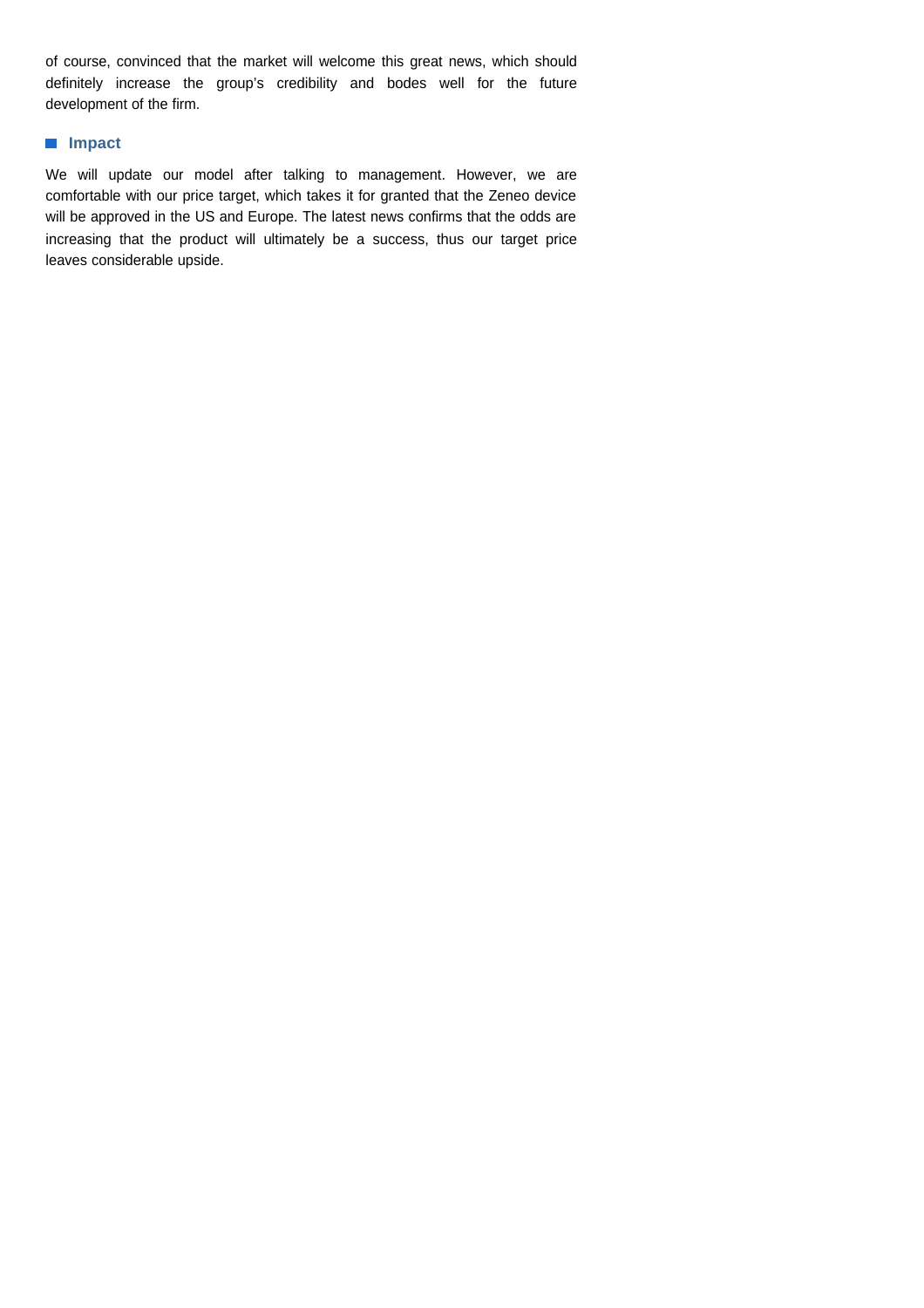of course, convinced that the market will welcome this great news, which should definitely increase the group's credibility and bodes well for the future development of the firm.

### **Impact**

We will update our model after talking to management. However, we are comfortable with our price target, which takes it for granted that the Zeneo device will be approved in the US and Europe. The latest news confirms that the odds are increasing that the product will ultimately be a success, thus our target price leaves considerable upside.